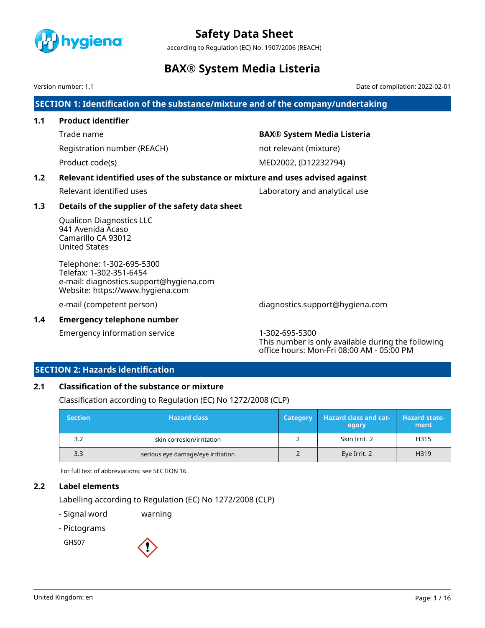

according to Regulation (EC) No. 1907/2006 (REACH)

## **BAX® System Media Listeria**

Version number: 1.1 Date of compilation: 2022-02-01

**SECTION 1: Identification of the substance/mixture and of the company/undertaking**

## **1.1 Product identifier**

Registration number (REACH) not relevant (mixture)

### Trade name **BAX® System Media Listeria**

Product code(s) and the MED2002, (D12232794)

### **1.2 Relevant identified uses of the substance or mixture and uses advised against**

Relevant identified uses **Laboratory** and analytical use

### **1.3 Details of the supplier of the safety data sheet**

Qualicon Diagnostics LLC 941 Avenida Acaso Camarillo CA 93012 United States

Telephone: 1-302-695-5300 Telefax: 1-302-351-6454 e-mail: diagnostics.support@hygiena.com Website: https://www.hygiena.com

e-mail (competent person) diagnostics.support@hygiena.com

**1.4 Emergency telephone number**

Emergency information service 1-302-695-5300

This number is only available during the following office hours: Mon-Fri 08:00 AM - 05:00 PM

### **SECTION 2: Hazards identification**

### **2.1 Classification of the substance or mixture**

Classification according to Regulation (EC) No 1272/2008 (CLP)

| <b>Section</b> | <b>Hazard class</b>               | <b>Category</b> | <b>Hazard class and cat-</b><br>egory | <b>Hazard state-</b><br>ment |
|----------------|-----------------------------------|-----------------|---------------------------------------|------------------------------|
| 3.2            | skin corrosion/irritation         |                 | Skin Irrit. 2                         | H315                         |
| 3.3            | serious eye damage/eye irritation |                 | Eye Irrit. 2                          | H319                         |

For full text of abbreviations: see SECTION 16.

### **2.2 Label elements**

Labelling according to Regulation (EC) No 1272/2008 (CLP)

- Signal word warning

- Pictograms

GHS07

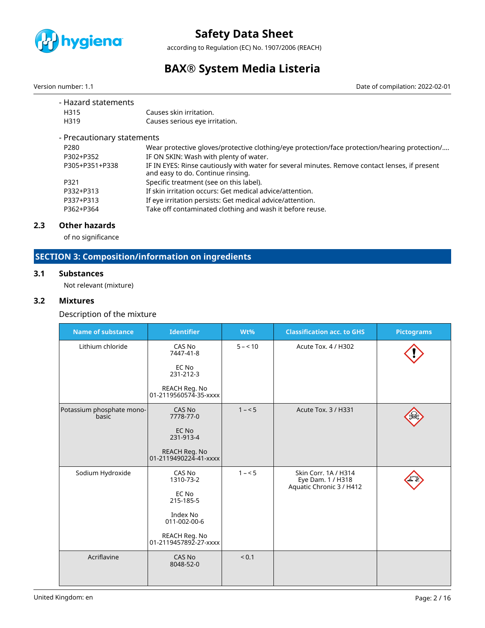

according to Regulation (EC) No. 1907/2006 (REACH)

## **BAX® System Media Listeria**

Version number: 1.1 Date of compilation: 2022-02-01

| - Hazard statements        |                                                                                                                                     |
|----------------------------|-------------------------------------------------------------------------------------------------------------------------------------|
| H315                       | Causes skin irritation.                                                                                                             |
| H319                       | Causes serious eye irritation.                                                                                                      |
| - Precautionary statements |                                                                                                                                     |
| P <sub>280</sub>           | Wear protective gloves/protective clothing/eye protection/face protection/hearing protection/                                       |
| P302+P352                  | IF ON SKIN: Wash with plenty of water.                                                                                              |
| P305+P351+P338             | IF IN EYES: Rinse cautiously with water for several minutes. Remove contact lenses, if present<br>and easy to do. Continue rinsing. |
| P321                       | Specific treatment (see on this label).                                                                                             |
| P332+P313                  | If skin irritation occurs: Get medical advice/attention.                                                                            |
| P337+P313                  | If eye irritation persists: Get medical advice/attention.                                                                           |
| P362+P364                  | Take off contaminated clothing and wash it before reuse.                                                                            |
|                            |                                                                                                                                     |

### **2.3 Other hazards**

of no significance

## **SECTION 3: Composition/information on ingredients**

#### **3.1 Substances**

Not relevant (mixture)

### **3.2 Mixtures**

Description of the mixture

| <b>Name of substance</b>           | <b>Identifier</b>                      | Wt%      | <b>Classification acc. to GHS</b>                                     | <b>Pictograms</b> |
|------------------------------------|----------------------------------------|----------|-----------------------------------------------------------------------|-------------------|
| Lithium chloride                   | CAS No<br>7447-41-8                    | $5 - 10$ | Acute Tox. 4 / H302                                                   |                   |
|                                    | EC No<br>231-212-3                     |          |                                                                       |                   |
|                                    | REACH Reg. No<br>01-2119560574-35-xxxx |          |                                                                       |                   |
| Potassium phosphate mono-<br>basic | CAS No<br>7778-77-0                    | $1 - 5$  | Acute Tox. 3 / H331                                                   |                   |
|                                    | EC No<br>231-913-4                     |          |                                                                       |                   |
|                                    | REACH Reg. No<br>01-2119490224-41-xxxx |          |                                                                       |                   |
| Sodium Hydroxide                   | CAS No<br>1310-73-2                    | $1 - 5$  | Skin Corr. 1A / H314<br>Eye Dam. 1 / H318<br>Aquatic Chronic 3 / H412 |                   |
|                                    | EC No<br>215-185-5                     |          |                                                                       |                   |
|                                    | Index No<br>011-002-00-6               |          |                                                                       |                   |
|                                    | REACH Reg. No<br>01-2119457892-27-xxxx |          |                                                                       |                   |
| Acriflavine                        | CAS No<br>8048-52-0                    | < 0.1    |                                                                       |                   |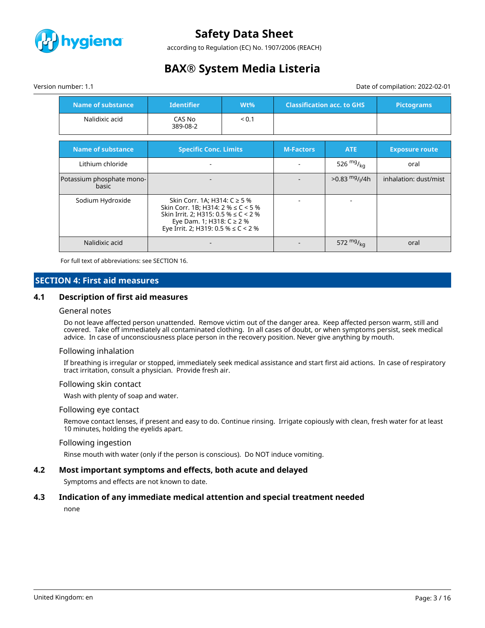

according to Regulation (EC) No. 1907/2006 (REACH)

## **BAX® System Media Listeria**

Version number: 1.1 Date of compilation: 2022-02-01

| <b>Name of substance</b>           | <b>Identifier</b><br>$Wt\%$                                                                                                                                                                 |  |                  | <b>Classification acc. to GHS</b> | <b>Pictograms</b>     |
|------------------------------------|---------------------------------------------------------------------------------------------------------------------------------------------------------------------------------------------|--|------------------|-----------------------------------|-----------------------|
| Nalidixic acid                     | CAS No<br>< 0.1<br>389-08-2                                                                                                                                                                 |  |                  |                                   |                       |
| <b>Name of substance</b>           | <b>Specific Conc. Limits</b>                                                                                                                                                                |  | <b>M-Factors</b> | ATE                               | <b>Exposure route</b> |
| Lithium chloride                   |                                                                                                                                                                                             |  |                  | 526 $mg/kq$                       | oral                  |
| Potassium phosphate mono-<br>basic |                                                                                                                                                                                             |  |                  | $>0.83$ mg/ <sub>I</sub> /4h      | inhalation: dust/mist |
| Sodium Hydroxide                   | Skin Corr. 1A; H314: C ≥ 5 %<br>Skin Corr. 1B; H314: $2\% \le C < 5\%$<br>Skin Irrit. 2; H315: $0.5\% \le C < 2\%$<br>Eye Dam. 1; H318: C ≥ 2 %<br>Eye Irrit. 2; H319: 0.5 % $\leq$ C < 2 % |  |                  |                                   |                       |
| Nalidixic acid                     |                                                                                                                                                                                             |  |                  | 572 $mg/_{kq}$                    | oral                  |

For full text of abbreviations: see SECTION 16.

### **SECTION 4: First aid measures**

#### **4.1 Description of first aid measures**

#### General notes

Do not leave affected person unattended. Remove victim out of the danger area. Keep affected person warm, still and covered. Take off immediately all contaminated clothing. In all cases of doubt, or when symptoms persist, seek medical advice. In case of unconsciousness place person in the recovery position. Never give anything by mouth.

#### Following inhalation

If breathing is irregular or stopped, immediately seek medical assistance and start first aid actions. In case of respiratory tract irritation, consult a physician. Provide fresh air.

#### Following skin contact

Wash with plenty of soap and water.

#### Following eye contact

Remove contact lenses, if present and easy to do. Continue rinsing. Irrigate copiously with clean, fresh water for at least 10 minutes, holding the eyelids apart.

#### Following ingestion

Rinse mouth with water (only if the person is conscious). Do NOT induce vomiting.

#### **4.2 Most important symptoms and effects, both acute and delayed**

Symptoms and effects are not known to date.

#### **4.3 Indication of any immediate medical attention and special treatment needed**

none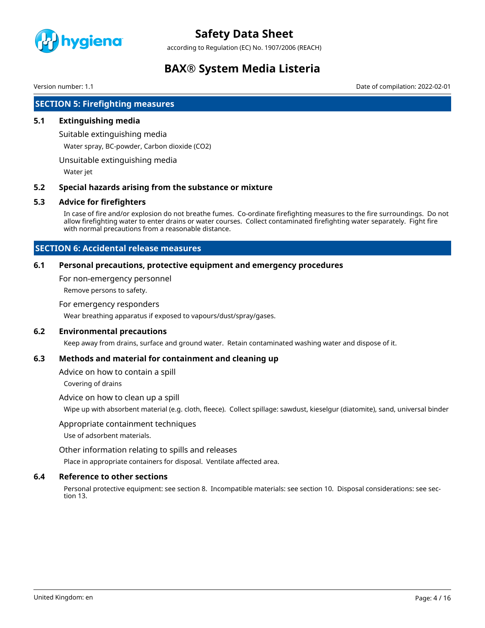

according to Regulation (EC) No. 1907/2006 (REACH)

## **BAX® System Media Listeria**

Version number: 1.1 Date of compilation: 2022-02-01

### **SECTION 5: Firefighting measures**

#### **5.1 Extinguishing media**

Suitable extinguishing media

Water spray, BC-powder, Carbon dioxide (CO2)

Unsuitable extinguishing media

Water jet

#### **5.2 Special hazards arising from the substance or mixture**

#### **5.3 Advice for firefighters**

In case of fire and/or explosion do not breathe fumes. Co-ordinate firefighting measures to the fire surroundings. Do not allow firefighting water to enter drains or water courses. Collect contaminated firefighting water separately. Fight fire with normal precautions from a reasonable distance.

### **SECTION 6: Accidental release measures**

#### **6.1 Personal precautions, protective equipment and emergency procedures**

For non-emergency personnel

Remove persons to safety.

#### For emergency responders

Wear breathing apparatus if exposed to vapours/dust/spray/gases.

#### **6.2 Environmental precautions**

Keep away from drains, surface and ground water. Retain contaminated washing water and dispose of it.

#### **6.3 Methods and material for containment and cleaning up**

Advice on how to contain a spill

Covering of drains

#### Advice on how to clean up a spill

Wipe up with absorbent material (e.g. cloth, fleece). Collect spillage: sawdust, kieselgur (diatomite), sand, universal binder

#### Appropriate containment techniques

Use of adsorbent materials.

Other information relating to spills and releases

Place in appropriate containers for disposal. Ventilate affected area.

#### **6.4 Reference to other sections**

Personal protective equipment: see section 8. Incompatible materials: see section 10. Disposal considerations: see section 13.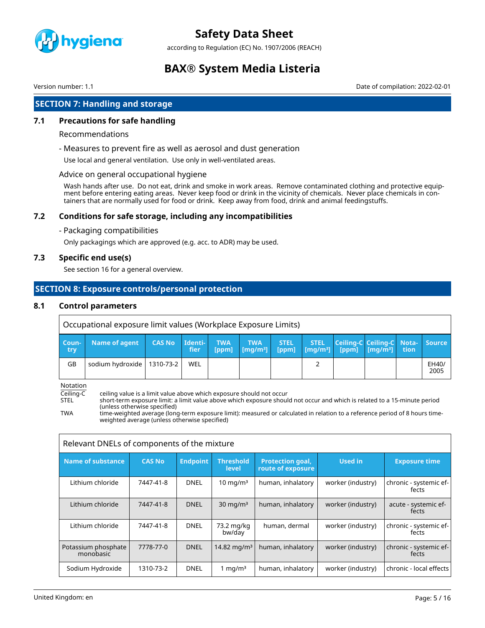

according to Regulation (EC) No. 1907/2006 (REACH)

## **BAX® System Media Listeria**

Version number: 1.1 Date of compilation: 2022-02-01

## **SECTION 7: Handling and storage**

### **7.1 Precautions for safe handling**

#### Recommendations

- Measures to prevent fire as well as aerosol and dust generation

Use local and general ventilation. Use only in well-ventilated areas.

#### Advice on general occupational hygiene

Wash hands after use. Do not eat, drink and smoke in work areas. Remove contaminated clothing and protective equipment before entering eating areas. Never keep food or drink in the vicinity of chemicals. Never place chemicals in containers that are normally used for food or drink. Keep away from food, drink and animal feedingstuffs.

### **7.2 Conditions for safe storage, including any incompatibilities**

- Packaging compatibilities

Only packagings which are approved (e.g. acc. to ADR) may be used.

#### **7.3 Specific end use(s)**

See section 16 for a general overview.

### **SECTION 8: Exposure controls/personal protection**

#### **8.1 Control parameters**

|              | Occupational exposure limit values (Workplace Exposure Limits) |               |                               |                     |                                              |                      |                                                                                      |  |                                  |               |
|--------------|----------------------------------------------------------------|---------------|-------------------------------|---------------------|----------------------------------------------|----------------------|--------------------------------------------------------------------------------------|--|----------------------------------|---------------|
| Coun-<br>try | Name of agent                                                  | <b>CAS No</b> | <b>Identi-</b><br><b>fier</b> | <b>TWA</b><br>[ppm] | <b>TWA</b><br>$\lfloor$ [mg/m <sup>3</sup> ] | <b>STEL</b><br>[ppm] | <b>STEL</b><br>$\left  \right $ [mg/m <sup>3</sup> ] [ppm] [mg/m <sup>3</sup> ] tion |  | Ceiling-C Ceiling-C Nota- Source |               |
| GB           | sodium hydroxide   1310-73-2                                   |               | WEL                           |                     |                                              |                      |                                                                                      |  |                                  | EH40/<br>2005 |

Notation

Ceiling-C ceiling value is a limit value above which exposure should not occur

short-term exposure limit: a limit value above which exposure should not occur and which is related to a 15-minute period (unless otherwise specified)

TWA time-weighted average (long-term exposure limit): measured or calculated in relation to a reference period of 8 hours timeweighted average (unless otherwise specified)

| Relevant DNELs of components of the mixture |               |                 |                           |                                              |                   |                                 |  |
|---------------------------------------------|---------------|-----------------|---------------------------|----------------------------------------------|-------------------|---------------------------------|--|
| Name of substance                           | <b>CAS No</b> | <b>Endpoint</b> | <b>Threshold</b><br>level | <b>Protection goal,</b><br>route of exposure | Used in           | <b>Exposure time</b>            |  |
| Lithium chloride                            | 7447-41-8     | <b>DNEL</b>     | $10 \text{ mg/m}^3$       | human, inhalatory                            | worker (industry) | chronic - systemic ef-<br>fects |  |
| Lithium chloride                            | 7447-41-8     | <b>DNEL</b>     | $30 \text{ mg/m}^3$       | human, inhalatory                            | worker (industry) | acute - systemic ef-<br>fects   |  |
| Lithium chloride                            | 7447-41-8     | <b>DNEL</b>     | 73.2 mg/kg<br>bw/day      | human, dermal                                | worker (industry) | chronic - systemic ef-<br>fects |  |
| Potassium phosphate<br>monobasic            | 7778-77-0     | <b>DNEL</b>     | 14.82 mg/m <sup>3</sup>   | human, inhalatory                            | worker (industry) | chronic - systemic ef-<br>fects |  |
| Sodium Hydroxide                            | 1310-73-2     | <b>DNEL</b>     | 1 mg/m $3$                | human, inhalatory                            | worker (industry) | chronic - local effects         |  |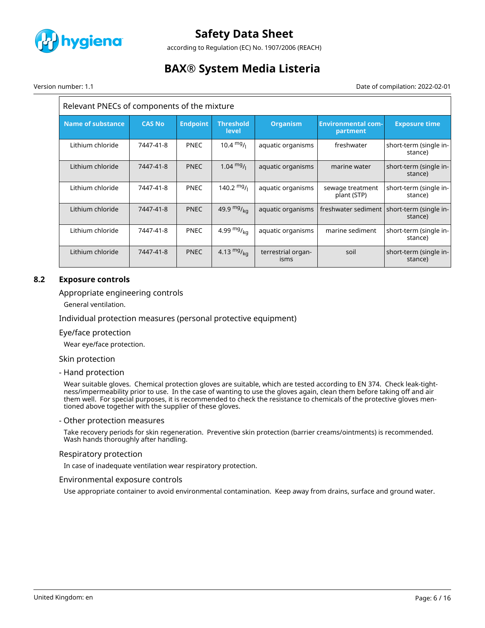

according to Regulation (EC) No. 1907/2006 (REACH)

## **BAX® System Media Listeria**

Version number: 1.1 Date of compilation: 2022-02-01

#### Relevant PNECs of components of the mixture **Name of substance CAS No Endpoint Threshold level Organism Environmental compartment Exposure time** Lithium chloride 7447-41-8 PNEC 10.4  $mg/l$  aquatic organisms freshwater short-term (single instance) Lithium chloride | 7447-41-8 | PNEC | 1.04  $mg/$  | aquatic organisms | marine water | short-term (single instance) Lithium chloride | 7447-41-8 | PNEC | 140.2  $mg$ <sub>|</sub> aquatic organisms | sewage treatment plant (STP) short-term (single instance) Lithium chloride | 7447-41-8 | PNEC | 49.9 mg/<sub>kg</sub> | aquatic organisms | freshwater sediment | short-term (single instance) Lithium chloride | 7447-41-8 | PNEC | 4.99  $mg/_{kq}$  | aquatic organisms | marine sediment | short-term (single instance) Lithium chloride | 7447-41-8 | PNEC | 4.13  $mg/_{\text{kg}}$  | terrestrial organisms soil short-term (single instance)

### **8.2 Exposure controls**

#### Appropriate engineering controls

General ventilation.

#### Individual protection measures (personal protective equipment)

#### Eye/face protection

Wear eye/face protection.

#### Skin protection

#### - Hand protection

Wear suitable gloves. Chemical protection gloves are suitable, which are tested according to EN 374. Check leak-tightness/impermeability prior to use. In the case of wanting to use the gloves again, clean them before taking off and air them well. For special purposes, it is recommended to check the resistance to chemicals of the protective gloves mentioned above together with the supplier of these gloves.

#### - Other protection measures

Take recovery periods for skin regeneration. Preventive skin protection (barrier creams/ointments) is recommended. Wash hands thoroughly after handling.

#### Respiratory protection

In case of inadequate ventilation wear respiratory protection.

#### Environmental exposure controls

Use appropriate container to avoid environmental contamination. Keep away from drains, surface and ground water.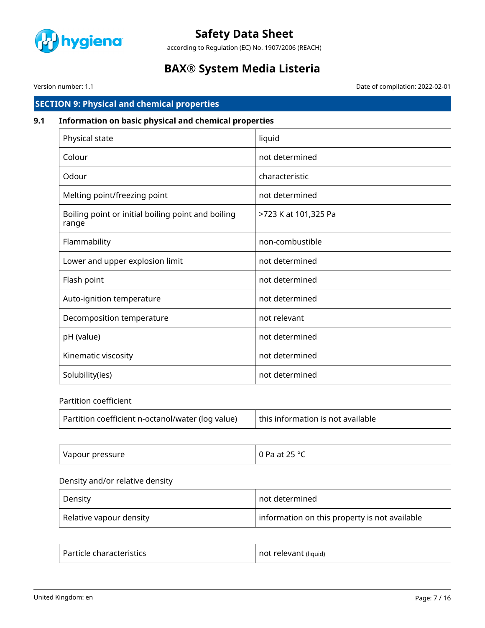

according to Regulation (EC) No. 1907/2006 (REACH)

## **BAX® System Media Listeria**

Version number: 1.1 Date of compilation: 2022-02-01

## **SECTION 9: Physical and chemical properties**

## **9.1 Information on basic physical and chemical properties**

| Physical state                                              | liquid               |
|-------------------------------------------------------------|----------------------|
| Colour                                                      | not determined       |
| Odour                                                       | characteristic       |
| Melting point/freezing point                                | not determined       |
| Boiling point or initial boiling point and boiling<br>range | >723 K at 101,325 Pa |
| Flammability                                                | non-combustible      |
| Lower and upper explosion limit                             | not determined       |
| Flash point                                                 | not determined       |
| Auto-ignition temperature                                   | not determined       |
| Decomposition temperature                                   | not relevant         |
| pH (value)                                                  | not determined       |
| Kinematic viscosity                                         | not determined       |
| Solubility(ies)                                             | not determined       |

#### Partition coefficient

| Partition coefficient n-octanol/water (log value)<br>this information is not available |  |  |
|----------------------------------------------------------------------------------------|--|--|
|----------------------------------------------------------------------------------------|--|--|

| Vapour pressure | $-250$<br>$\sim$ $\sim$<br>ᄼ<br>Pa at<br>∼<br>$-$ |
|-----------------|---------------------------------------------------|
|-----------------|---------------------------------------------------|

## Density and/or relative density

| Density                          | not determined                                |
|----------------------------------|-----------------------------------------------|
| Relative vapour density Relative | information on this property is not available |

| . Particle characteristics . | not relevant (liquid) |
|------------------------------|-----------------------|
|------------------------------|-----------------------|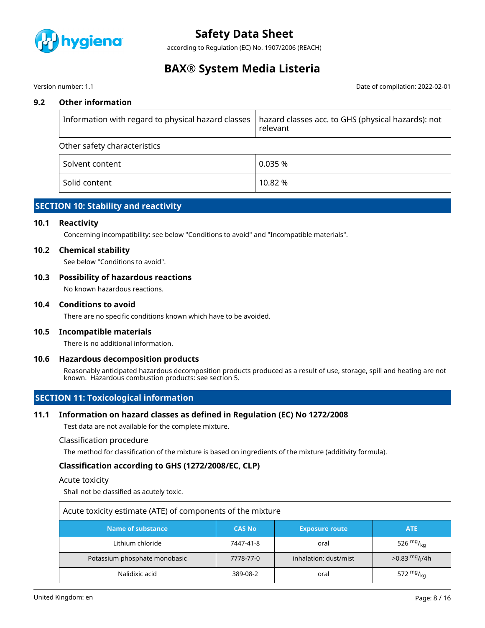

according to Regulation (EC) No. 1907/2006 (REACH)

## **BAX® System Media Listeria**

#### Version number: 1.1 Date of compilation: 2022-02-01

#### **9.2 Other information**

| Information with regard to physical hazard classes   hazard classes acc. to GHS (physical hazards): not | relevant |
|---------------------------------------------------------------------------------------------------------|----------|
| Other safety characteristics                                                                            |          |
| Solvent content                                                                                         | 0.035%   |
| Solid content                                                                                           | 10.82 %  |

## **SECTION 10: Stability and reactivity**

#### **10.1 Reactivity**

Concerning incompatibility: see below "Conditions to avoid" and "Incompatible materials".

#### **10.2 Chemical stability**

See below "Conditions to avoid".

#### **10.3 Possibility of hazardous reactions**

No known hazardous reactions.

#### **10.4 Conditions to avoid**

There are no specific conditions known which have to be avoided.

#### **10.5 Incompatible materials**

There is no additional information.

#### **10.6 Hazardous decomposition products**

Reasonably anticipated hazardous decomposition products produced as a result of use, storage, spill and heating are not known. Hazardous combustion products: see section 5.

### **SECTION 11: Toxicological information**

#### **11.1 Information on hazard classes as defined in Regulation (EC) No 1272/2008**

Test data are not available for the complete mixture.

Classification procedure

The method for classification of the mixture is based on ingredients of the mixture (additivity formula).

#### **Classification according to GHS (1272/2008/EC, CLP)**

#### Acute toxicity

Shall not be classified as acutely toxic.

| Acute toxicity estimate (ATE) of components of the mixture |               |                       |                                         |
|------------------------------------------------------------|---------------|-----------------------|-----------------------------------------|
| Name of substance                                          | <b>CAS No</b> | <b>Exposure route</b> | <b>ATE</b>                              |
| Lithium chloride                                           | 7447-41-8     | oral                  | 526 $mg/kq$                             |
| Potassium phosphate monobasic                              | 7778-77-0     | inhalation: dust/mist | $>0.83 \frac{mg}{l}$ / <sub>1</sub> /4h |
| Nalidixic acid                                             | 389-08-2      | oral                  | 572 $mg_{kq}$                           |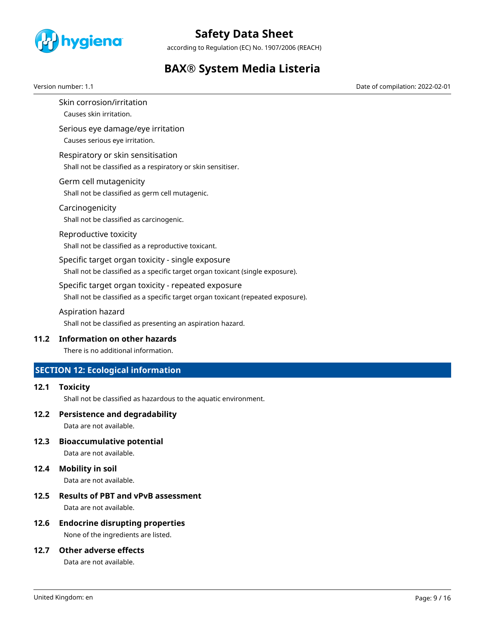

according to Regulation (EC) No. 1907/2006 (REACH)

## **BAX® System Media Listeria**

Version number: 1.1 Date of compilation: 2022-02-01

- Skin corrosion/irritation Causes skin irritation.
- Serious eye damage/eye irritation Causes serious eye irritation.
- Respiratory or skin sensitisation Shall not be classified as a respiratory or skin sensitiser.
- Germ cell mutagenicity Shall not be classified as germ cell mutagenic.
- Carcinogenicity Shall not be classified as carcinogenic.
- Reproductive toxicity Shall not be classified as a reproductive toxicant.
- Specific target organ toxicity single exposure Shall not be classified as a specific target organ toxicant (single exposure).
- Specific target organ toxicity repeated exposure Shall not be classified as a specific target organ toxicant (repeated exposure).
- Aspiration hazard
- Shall not be classified as presenting an aspiration hazard.

### **11.2 Information on other hazards**

There is no additional information.

## **SECTION 12: Ecological information**

**12.1 Toxicity**

Shall not be classified as hazardous to the aquatic environment.

**12.2 Persistence and degradability**

Data are not available.

**12.3 Bioaccumulative potential**

Data are not available.

### **12.4 Mobility in soil**

Data are not available.

### **12.5 Results of PBT and vPvB assessment**

Data are not available.

### **12.6 Endocrine disrupting properties**

None of the ingredients are listed.

### **12.7 Other adverse effects**

Data are not available.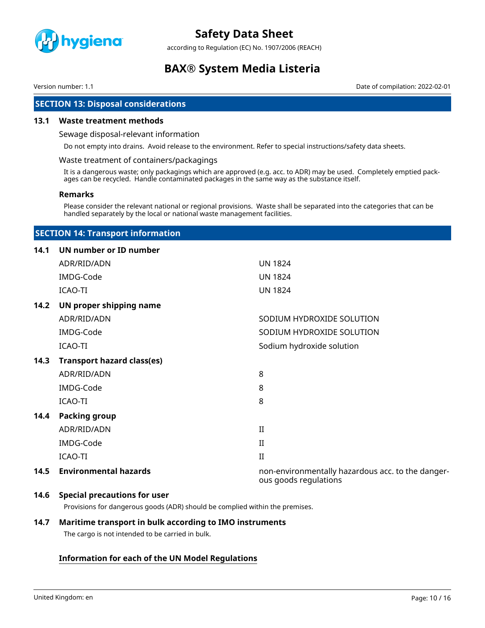

according to Regulation (EC) No. 1907/2006 (REACH)

## **BAX® System Media Listeria**

Version number: 1.1 Date of compilation: 2022-02-01

### **SECTION 13: Disposal considerations**

#### **13.1 Waste treatment methods**

#### Sewage disposal-relevant information

Do not empty into drains. Avoid release to the environment. Refer to special instructions/safety data sheets.

#### Waste treatment of containers/packagings

It is a dangerous waste; only packagings which are approved (e.g. acc. to ADR) may be used. Completely emptied packages can be recycled. Handle contaminated packages in the same way as the substance itself.

#### **Remarks**

Please consider the relevant national or regional provisions. Waste shall be separated into the categories that can be handled separately by the local or national waste management facilities.

### **SECTION 14: Transport information**

#### **14.1 UN number or ID number**

|      | ADR/RID/ADN                       | <b>UN 1824</b>                                                             |
|------|-----------------------------------|----------------------------------------------------------------------------|
|      | IMDG-Code                         | <b>UN 1824</b>                                                             |
|      | ICAO-TI                           | <b>UN 1824</b>                                                             |
| 14.2 | UN proper shipping name           |                                                                            |
|      | ADR/RID/ADN                       | SODIUM HYDROXIDE SOLUTION                                                  |
|      | IMDG-Code                         | SODIUM HYDROXIDE SOLUTION                                                  |
|      | ICAO-TI                           | Sodium hydroxide solution                                                  |
| 14.3 | <b>Transport hazard class(es)</b> |                                                                            |
|      | ADR/RID/ADN                       | 8                                                                          |
|      | IMDG-Code                         | 8                                                                          |
|      | ICAO-TI                           | 8                                                                          |
| 14.4 | <b>Packing group</b>              |                                                                            |
|      | ADR/RID/ADN                       | $\mathbf{H}$                                                               |
|      | IMDG-Code                         | $\rm II$                                                                   |
|      | ICAO-TI                           | $\mathbf{I}$                                                               |
| 14.5 | <b>Environmental hazards</b>      | non-environmentally hazardous acc. to the danger-<br>ous goods regulations |

#### **14.6 Special precautions for user**

Provisions for dangerous goods (ADR) should be complied within the premises.

#### **14.7 Maritime transport in bulk according to IMO instruments**

The cargo is not intended to be carried in bulk.

### **Information for each of the UN Model Regulations**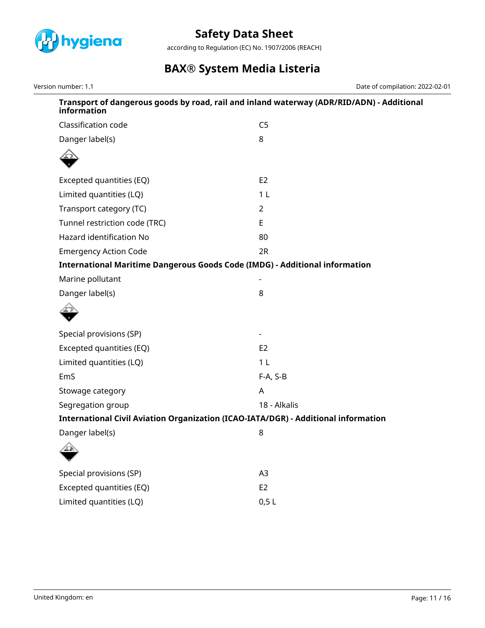

according to Regulation (EC) No. 1907/2006 (REACH)

# **BAX® System Media Listeria**

Version number: 1.1 Date of compilation: 2022-02-01

| Transport of dangerous goods by road, rail and inland waterway (ADR/RID/ADN) - Additional<br>information |                |  |
|----------------------------------------------------------------------------------------------------------|----------------|--|
| Classification code                                                                                      | C <sub>5</sub> |  |
| Danger label(s)                                                                                          | 8              |  |
|                                                                                                          |                |  |
| Excepted quantities (EQ)                                                                                 | E <sub>2</sub> |  |
| Limited quantities (LQ)                                                                                  | 1 <sub>L</sub> |  |
| Transport category (TC)                                                                                  | $\overline{2}$ |  |
| Tunnel restriction code (TRC)                                                                            | E              |  |
| Hazard identification No                                                                                 | 80             |  |
| <b>Emergency Action Code</b>                                                                             | 2R             |  |
| <b>International Maritime Dangerous Goods Code (IMDG) - Additional information</b>                       |                |  |
| Marine pollutant                                                                                         |                |  |
| Danger label(s)                                                                                          | 8              |  |
|                                                                                                          |                |  |
| Special provisions (SP)                                                                                  |                |  |
| Excepted quantities (EQ)                                                                                 | E <sub>2</sub> |  |
| Limited quantities (LQ)                                                                                  | 1 <sub>L</sub> |  |
| EmS                                                                                                      | $F-A, S-B$     |  |
| Stowage category                                                                                         | A              |  |
| Segregation group                                                                                        | 18 - Alkalis   |  |
| International Civil Aviation Organization (ICAO-IATA/DGR) - Additional information                       |                |  |
| Danger label(s)                                                                                          | 8              |  |
| Æ                                                                                                        |                |  |
| Special provisions (SP)                                                                                  | A3             |  |
| Excepted quantities (EQ)                                                                                 | E <sub>2</sub> |  |
| Limited quantities (LQ)                                                                                  | 0,5L           |  |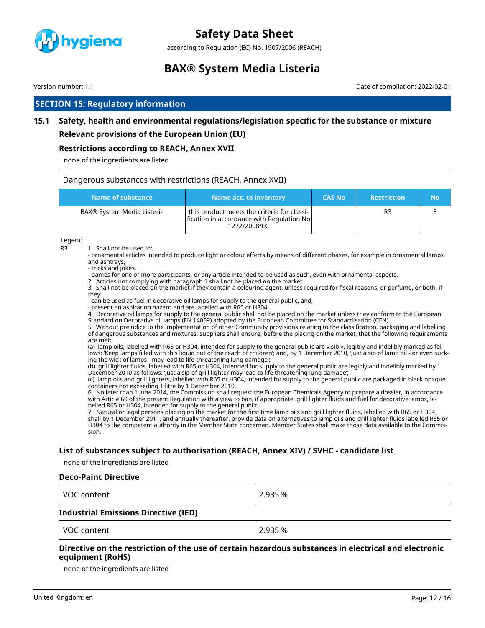

according to Regulation (EC) No. 1907/2006 (REACH)

## **BAX® System Media Listeria**

Version number: 1.1 Date of compilation: 2022-02-01

### **SECTION 15: Regulatory information**

### **15.1 Safety, health and environmental regulations/legislation specific for the substance or mixture**

#### **Relevant provisions of the European Union (EU)**

#### **Restrictions according to REACH, Annex XVII**

none of the ingredients are listed

| Dangerous substances with restrictions (REACH, Annex XVII) |                                                                                                          |               |                    |    |
|------------------------------------------------------------|----------------------------------------------------------------------------------------------------------|---------------|--------------------|----|
| Name of substance                                          | Name acc. to inventory                                                                                   | <b>CAS No</b> | <b>Restriction</b> | No |
| BAX® System Media Listeria                                 | this product meets the criteria for classi-<br>fication in accordance with Regulation No<br>1272/2008/EC |               | R <sub>3</sub>     |    |

Legend

R3 1. Shall not be used in:

- ornamental articles intended to produce light or colour effects by means of different phases, for example in ornamental lamps and ashtrays,

- tricks and jokes,

- games for one or more participants, or any article intended to be used as such, even with ornamental aspects,

2. Articles not complying with paragraph 1 shall not be placed on the market.

3. Shall not be placed on the market if they contain a colouring agent, unless required for fiscal reasons, or perfume, or both, if they:

- can be used as fuel in decorative oil lamps for supply to the general public, and,

- present an aspiration hazard and are labelled with R65 or H304,

4. Decorative oil lamps for supply to the general public shall not be placed on the market unless they conform to the European Standard on Decorative oil lamps (EN 14059) adopted by the European Committee for Standardisation (CEN).

5. Without prejudice to the implementation of other Community provisions relating to the classification, packaging and labelling of dangerous substances and mixtures, suppliers shall ensure, before the placing on the market, that the following requirements are met:

(a) lamp oils, labelled with R65 or H304, intended for supply to the general public are visibly, legibly and indelibly marked as follows: 'Keep lamps filled with this liquid out of the reach of children'; and, by 1 December 2010, 'Just a sip of lamp oil - or even sucking the wick of lamps - may lead to life-threatening lung damage';

(b) grill lighter fluids, labelled with R65 or H304, intended for supply to the general public are legibly and indelibly marked by 1 December 2010 as follows: 'Just a sip of grill lighter may lead to life threatening lung damage';

(c) lamp oils and grill lighters, labelled with R65 or H304, intended for supply to the general public are packaged in black opaque containers not exceeding 1 litre by 1 December 2010.

6. No later than 1 June 2014, the Commission shall request the European Chemicals Agency to prepare a dossier, in accordance with Article 69 of the present Regulation with a view to ban, if appropriate, grill lighter fluids and fuel for decorative lamps, labelled R65 or H304, intended for supply to the general public.

7. Natural or legal persons placing on the market for the first time lamp oils and grill lighter fluids, labelled with R65 or H304, shall by 1 December 2011, and annually thereafter, provide data on alternatives to lamp oils and grill lighter fluids labelled R65 or H304 to the competent authority in the Member State concerned. Member States shall make those data available to the Commission.

#### **List of substances subject to authorisation (REACH, Annex XIV) / SVHC - candidate list**

none of the ingredients are listed

#### **Deco-Paint Directive**

| VOC content | 2.935 % |
|-------------|---------|
|-------------|---------|

#### **Industrial Emissions Directive (IED)**

VOC content 2.935 %

#### **Directive on the restriction of the use of certain hazardous substances in electrical and electronic equipment (RoHS)**

none of the ingredients are listed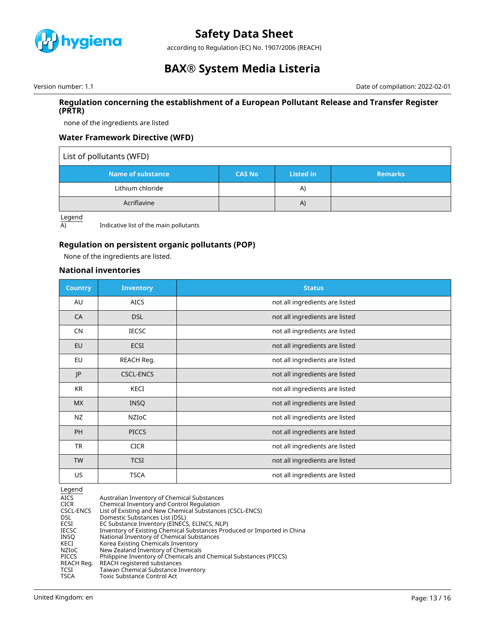

according to Regulation (EC) No. 1907/2006 (REACH)

## **BAX® System Media Listeria**

Version number: 1.1 **Date of compilation: 2022-02-01** Date of compilation: 2022-02-01

#### **Regulation concerning the establishment of a European Pollutant Release and Transfer Register (PRTR)**

none of the ingredients are listed

### **Water Framework Directive (WFD)**

#### List of pollutants (WFD)

| Name of substance | <b>CAS No</b> | Listed in | <b>Remarks</b> |
|-------------------|---------------|-----------|----------------|
| Lithium chloride  |               | A)        |                |
| Acriflavine       |               | A)        |                |

Legend

A) Indicative list of the main pollutants

### **Regulation on persistent organic pollutants (POP)**

None of the ingredients are listed.

### **National inventories**

| <b>Country</b> | <b>Inventory</b> | <b>Status</b>                  |
|----------------|------------------|--------------------------------|
| AU             | <b>AICS</b>      | not all ingredients are listed |
| CA             | <b>DSL</b>       | not all ingredients are listed |
| <b>CN</b>      | <b>IECSC</b>     | not all ingredients are listed |
| EU             | <b>ECSI</b>      | not all ingredients are listed |
| EU             | REACH Reg.       | not all ingredients are listed |
| JP             | <b>CSCL-ENCS</b> | not all ingredients are listed |
| KR             | KECI             | not all ingredients are listed |
| <b>MX</b>      | <b>INSQ</b>      | not all ingredients are listed |
| <b>NZ</b>      | <b>NZIOC</b>     | not all ingredients are listed |
| <b>PH</b>      | <b>PICCS</b>     | not all ingredients are listed |
| <b>TR</b>      | <b>CICR</b>      | not all ingredients are listed |
| <b>TW</b>      | <b>TCSI</b>      | not all ingredients are listed |
| US.            | <b>TSCA</b>      | not all ingredients are listed |

Legend

| <b>AICS</b>  | Australian Inventory of Chemical Substances                             |
|--------------|-------------------------------------------------------------------------|
| <b>CICR</b>  | Chemical Inventory and Control Regulation                               |
| CSCL-ENCS    | List of Existing and New Chemical Substances (CSCL-ENCS)                |
| DSL.         | Domestic Substances List (DSL)                                          |
| ECSI         | EC Substance Inventory (EINECS, ELINCS, NLP)                            |
| <b>IECSC</b> | Inventory of Existing Chemical Substances Produced or Imported in China |
| INSO         | National Inventory of Chemical Substances                               |
| KECI         | Korea Existing Chemicals Inventory                                      |
| NZIoC        | New Zealand Inventory of Chemicals                                      |
| <b>PICCS</b> | Philippine Inventory of Chemicals and Chemical Substances (PICCS)       |
| REACH Reg.   | REACH registered substances                                             |
| <b>TCSI</b>  | Taiwan Chemical Substance Inventory                                     |
| <b>TSCA</b>  | Toxic Substance Control Act                                             |
|              |                                                                         |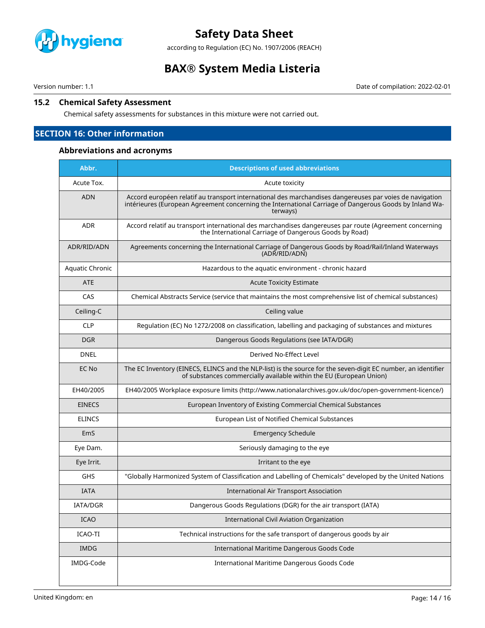

according to Regulation (EC) No. 1907/2006 (REACH)

## **BAX® System Media Listeria**

Version number: 1.1 Date of compilation: 2022-02-01

#### **15.2 Chemical Safety Assessment**

Chemical safety assessments for substances in this mixture were not carried out.

## **SECTION 16: Other information**

### **Abbreviations and acronyms**

| Abbr.                  | <b>Descriptions of used abbreviations</b>                                                                                                                                                                                     |
|------------------------|-------------------------------------------------------------------------------------------------------------------------------------------------------------------------------------------------------------------------------|
| Acute Tox.             | Acute toxicity                                                                                                                                                                                                                |
| <b>ADN</b>             | Accord européen relatif au transport international des marchandises dangereuses par voies de navigation<br>intérieures (European Agreement concerning the International Carriage of Dangerous Goods by Inland Wa-<br>terways) |
| <b>ADR</b>             | Accord relatif au transport international des marchandises dangereuses par route (Agreement concerning<br>the International Carriage of Dangerous Goods by Road)                                                              |
| ADR/RID/ADN            | Agreements concerning the International Carriage of Dangerous Goods by Road/Rail/Inland Waterways<br>(ADR/RID/ADN)                                                                                                            |
| <b>Aquatic Chronic</b> | Hazardous to the aquatic environment - chronic hazard                                                                                                                                                                         |
| <b>ATE</b>             | <b>Acute Toxicity Estimate</b>                                                                                                                                                                                                |
| CAS                    | Chemical Abstracts Service (service that maintains the most comprehensive list of chemical substances)                                                                                                                        |
| Ceiling-C              | Ceiling value                                                                                                                                                                                                                 |
| <b>CLP</b>             | Regulation (EC) No 1272/2008 on classification, labelling and packaging of substances and mixtures                                                                                                                            |
| <b>DGR</b>             | Dangerous Goods Regulations (see IATA/DGR)                                                                                                                                                                                    |
| <b>DNEL</b>            | Derived No-Effect Level                                                                                                                                                                                                       |
| EC No                  | The EC Inventory (EINECS, ELINCS and the NLP-list) is the source for the seven-digit EC number, an identifier<br>of substances commercially available within the EU (European Union)                                          |
| EH40/2005              | EH40/2005 Workplace exposure limits (http://www.nationalarchives.gov.uk/doc/open-government-licence/)                                                                                                                         |
| <b>EINECS</b>          | European Inventory of Existing Commercial Chemical Substances                                                                                                                                                                 |
| <b>ELINCS</b>          | European List of Notified Chemical Substances                                                                                                                                                                                 |
| EmS                    | <b>Emergency Schedule</b>                                                                                                                                                                                                     |
| Eye Dam.               | Seriously damaging to the eye                                                                                                                                                                                                 |
| Eye Irrit.             | Irritant to the eye                                                                                                                                                                                                           |
| <b>GHS</b>             | "Globally Harmonized System of Classification and Labelling of Chemicals" developed by the United Nations                                                                                                                     |
| <b>IATA</b>            | <b>International Air Transport Association</b>                                                                                                                                                                                |
| IATA/DGR               | Dangerous Goods Regulations (DGR) for the air transport (IATA)                                                                                                                                                                |
| ICAO                   | <b>International Civil Aviation Organization</b>                                                                                                                                                                              |
| ICAO-TI                | Technical instructions for the safe transport of dangerous goods by air                                                                                                                                                       |
| IMDG                   | International Maritime Dangerous Goods Code                                                                                                                                                                                   |
| IMDG-Code              | International Maritime Dangerous Goods Code                                                                                                                                                                                   |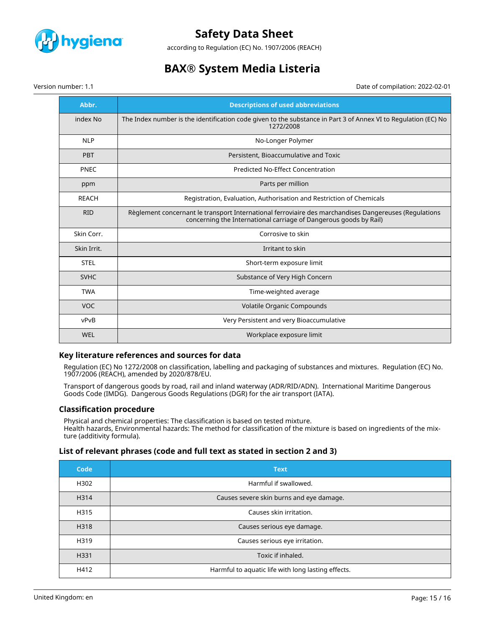

according to Regulation (EC) No. 1907/2006 (REACH)

## **BAX® System Media Listeria**

Date of compilation: 2022-02-01

|  | Version number: 1.1 |  |
|--|---------------------|--|
|--|---------------------|--|

| Abbr.        | <b>Descriptions of used abbreviations</b>                                                                                                                                  |
|--------------|----------------------------------------------------------------------------------------------------------------------------------------------------------------------------|
| index No     | The Index number is the identification code given to the substance in Part 3 of Annex VI to Regulation (EC) No<br>1272/2008                                                |
| <b>NLP</b>   | No-Longer Polymer                                                                                                                                                          |
| <b>PBT</b>   | Persistent, Bioaccumulative and Toxic                                                                                                                                      |
| <b>PNEC</b>  | Predicted No-Effect Concentration                                                                                                                                          |
| ppm          | Parts per million                                                                                                                                                          |
| <b>REACH</b> | Registration, Evaluation, Authorisation and Restriction of Chemicals                                                                                                       |
| <b>RID</b>   | Règlement concernant le transport International ferroviaire des marchandises Dangereuses (Regulations<br>concerning the International carriage of Dangerous goods by Rail) |
| Skin Corr.   | Corrosive to skin                                                                                                                                                          |
| Skin Irrit.  | Irritant to skin                                                                                                                                                           |
| <b>STEL</b>  | Short-term exposure limit                                                                                                                                                  |
| <b>SVHC</b>  | Substance of Very High Concern                                                                                                                                             |
| <b>TWA</b>   | Time-weighted average                                                                                                                                                      |
| <b>VOC</b>   | Volatile Organic Compounds                                                                                                                                                 |
| vPvB         | Very Persistent and very Bioaccumulative                                                                                                                                   |
| WEL          | Workplace exposure limit                                                                                                                                                   |

#### **Key literature references and sources for data**

Regulation (EC) No 1272/2008 on classification, labelling and packaging of substances and mixtures. Regulation (EC) No. 1907/2006 (REACH), amended by 2020/878/EU.

Transport of dangerous goods by road, rail and inland waterway (ADR/RID/ADN). International Maritime Dangerous Goods Code (IMDG). Dangerous Goods Regulations (DGR) for the air transport (IATA).

#### **Classification procedure**

Physical and chemical properties: The classification is based on tested mixture. Health hazards, Environmental hazards: The method for classification of the mixture is based on ingredients of the mixture (additivity formula).

#### **List of relevant phrases (code and full text as stated in section 2 and 3)**

| Code | <b>Text</b>                                        |
|------|----------------------------------------------------|
| H302 | Harmful if swallowed.                              |
| H314 | Causes severe skin burns and eye damage.           |
| H315 | Causes skin irritation.                            |
| H318 | Causes serious eye damage.                         |
| H319 | Causes serious eye irritation.                     |
| H331 | Toxic if inhaled.                                  |
| H412 | Harmful to aquatic life with long lasting effects. |